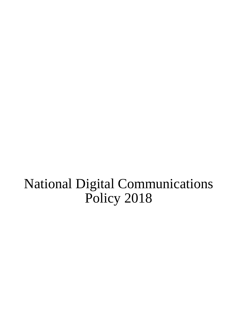# National Digital Communications Policy 2018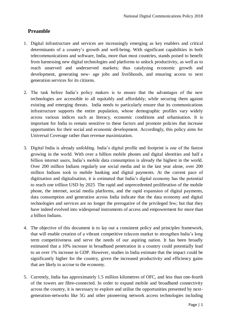## **Preamble**

- 1. Digital infrastructure and services are increasingly emerging as key enablers and critical determinants of a country's growth and well-being. With significant capabilities in both telecommunications and software, India, more than most countries, stands poised to benefit from harnessing new digital technologies and platforms to unlock productivity, as well as to reach unserved and underserved markets; thus catalysing economic growth and development, generating new- age jobs and livelihoods, and ensuring access to next generation services for its citizens.
- 2. The task before India's policy makers is to ensure that the advantages of the new technologies are accessible to all equitably and affordably; while securing them against existing and emerging threats. India needs to particularly ensure that its communications infrastructure supports the entire population, whose demographic profiles vary widely across various indices such as literacy, economic conditions and urbanisation. It is important for India to remain sensitive to these factors and promote policies that increase opportunities for their social and economic development. Accordingly, this policy aims for Universal Coverage rather than revenue maximization.
- 3. Digital India is already unfolding. India's digital profile and footprint is one of the fastest growing in the world. With over a billion mobile phones and digital identities and half a billion internet users, India's mobile data consumption is already the highest in the world. Over 200 million Indians regularly use social media and in the last year alone, over 200 million Indians took to mobile banking and digital payments. At the current pace of digitisation and digitalisation, it is estimated that India's digital economy has the potential to reach one trillion USD by 2025. The rapid and unprecedented proliferation of the mobile phone, the internet, social media platforms, and the rapid expansion of digital payments, data consumption and generation across India indicate that the data economy and digital technologies and services are no longer the prerogative of the privileged few; but that they have indeed evolved into widespread instruments of access and empowerment for more than a billion Indians.
- 4. The objective of this document is to lay out a consistent policy and principles framework, that will enable creation of a vibrant competitive telecom market to strengthen India's long term competitiveness and serve the needs of our aspiring nation. It has been broadly estimated that a 10% increase in broadband penetration in a country could potentially lead to an over 1% increase in GDP. However, studies in India estimate that the impact could be significantly higher for the country, given the increased productivity and efficiency gains that are likely to accrue to the economy.
- 5. Currently, India has approximately 1.5 million kilometres of OFC, and less than one-fourth of the towers are fibre-connected. In order to expand mobile and broadband connectivity across the country, it is necessary to explore and utilise the opportunities presented by nextgeneration-networks like 5G and other pioneering network access technologies including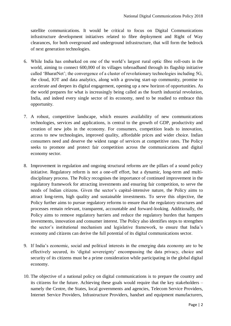satellite communications. It would be critical to focus on Digital Communications infrastructure development initiatives related to fibre deployment and Right of Way clearances, for both overground and underground infrastructure, that will form the bedrock of next generation technologies.

- 6. While India has embarked on one of the world's largest rural optic fibre roll-outs in the world, aiming to connect 600,000 of its villages tobroadband through its flagship initiative called 'BharatNet'; the convergence of a cluster of revolutionary technologies including 5G, the cloud, IOT and data analytics, along with a growing start-up community, promise to accelerate and deepen its digital engagement, opening up a new horizon of opportunities. As the world prepares for what is increasingly being called as the fourth industrial revolution, India, and indeed every single sector of its economy, need to be readied to embrace this opportunity.
- 7. A robust, competitive landscape, which ensures availability of new communications technologies, services and applications, is central to the growth of GDP, productivity and creation of new jobs in the economy. For consumers, competition leads to innovation, access to new technologies, improved quality, affordable prices and wider choice. Indian consumers need and deserve the widest range of services at competitive rates. The Policy seeks to promote and protect fair competition across the communications and digital economy sector.
- 8. Improvement in regulation and ongoing structural reforms are the pillars of a sound policy initiative. Regulatory reform is not a one-off effort, but a dynamic, long-term and multidisciplinary process. The Policy recognises the importance of continued improvement in the regulatory framework for attracting investments and ensuring fair competition, to serve the needs of Indian citizens. Given the sector's capital-intensive nature, the Policy aims to attract long-term, high quality and sustainable investments. To serve this objective, the Policy further aims to pursue regulatory reforms to ensure that the regulatory structures and processes remain relevant, transparent, accountable and forward-looking. Additionally, the Policy aims to remove regulatory barriers and reduce the regulatory burden that hampers investments, innovation and consumer interest. The Policy also identifies steps to strengthen the sector's institutional mechanism and legislative framework, to ensure that India's economy and citizens can derive the full potential of its digital communications sector.
- 9. If India's economic, social and political interests in the emerging data economy are to be effectively secured, its 'digital sovereignty' encompassing the data privacy, choice and security of its citizens must be a prime consideration while participating in the global digital economy.
- 10. The objective of a national policy on digital communications is to prepare the country and its citizens for the future. Achieving these goals would require that the key stakeholders – namely the Centre, the States, local governments and agencies, Telecom Service Providers, Internet Service Providers, Infrastructure Providers, handset and equipment manufacturers,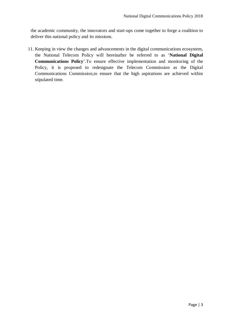the academic community, the innovators and start-ups come together to forge a coalition to deliver this national policy and its missions.

11. Keeping in view the changes and advancements in the digital communications ecosystem, the National Telecom Policy will hereinafter be referred to as '**National Digital Communications Policy**'.To ensure effective implementation and monitoring of the Policy, it is proposed to redesignate the Telecom Commission as the Digital Communications Commission,to ensure that the high aspirations are achieved within stipulated time.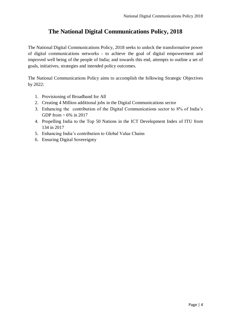# **The National Digital Communications Policy, 2018**

The National Digital Communications Policy, 2018 seeks to unlock the transformative power of digital communications networks - to achieve the goal of digital empowerment and improved well being of the people of India; and towards this end, attempts to outline a set of goals, initiatives, strategies and intended policy outcomes.

The National Communications Policy aims to accomplish the following Strategic Objectives by 2022:

- 1. Provisioning of Broadband for All
- 2. Creating 4 Million additional jobs in the Digital Communications sector
- 3. Enhancing the contribution of the Digital Communications sector to 8% of India's GDP from  $\sim 6\%$  in 2017
- 4. Propelling India to the Top 50 Nations in the ICT Development Index of ITU from 134 in 2017
- 5. Enhancing India's contribution to Global Value Chains
- 6. Ensuring Digital Sovereignty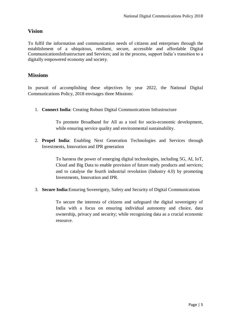## **Vision**

To fulfil the information and communication needs of citizens and enterprises through the establishment of a ubiquitous, resilient, secure, accessible and affordable Digital CommunicationsInfrastructure and Services; and in the process, support India's transition to a digitally empowered economy and society.

### **Missions**

In pursuit of accomplishing these objectives by year 2022, the National Digital Communications Policy, 2018 envisages three Missions:

1. **Connect India**: Creating Robust Digital Communications Infrastructure

To promote Broadband for All as a tool for socio-economic development, while ensuring service quality and environmental sustainability.

2. **Propel India**: Enabling Next Generation Technologies and Services through Investments, Innovation and IPR generation

> To harness the power of emerging digital technologies, including 5G, AI, IoT, Cloud and Big Data to enable provision of future ready products and services; and to catalyse the fourth industrial revolution (Industry 4.0) by promoting Investments, Innovation and IPR.

3. **Secure India:**Ensuring Sovereignty, Safety and Security of Digital Communications

To secure the interests of citizens and safeguard the digital sovereignty of India with a focus on ensuring individual autonomy and choice, data ownership, privacy and security; while recognizing data as a crucial economic resource.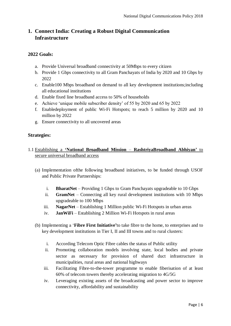## **1. Connect India: Creating a Robust Digital Communication Infrastructure**

#### **2022 Goals:**

- a. Provide Universal broadband connectivity at 50Mbps to every citizen
- b. Provide 1 Gbps connectivity to all Gram Panchayats of India by 2020 and 10 Gbps by 2022
- c. Enable100 Mbps broadband on demand to all key development institutions;including all educational institutions
- d. Enable fixed line broadband access to 50% of households
- e. Achieve 'unique mobile subscriber density' of 55 by 2020 and 65 by 2022
- f. Enabledeployment of public Wi-Fi Hotspots; to reach 5 million by 2020 and 10 million by 2022
- g. Ensure connectivity to all uncovered areas

#### **Strategies:**

- 1.1 Establishing a **'National Broadband Mission RashtriyaBroadband Abhiyan'** to secure universal broadband access
	- (a) Implementation ofthe following broadband initiatives, to be funded through USOF and Public Private Partnerships:
		- i. **BharatNet** Providing 1 Gbps to Gram Panchayats upgradeable to 10 Gbps
		- ii. **GramNet** Connecting all key rural development institutions with 10 Mbps upgradeable to 100 Mbps
		- iii. **NagarNet** Establishing 1 Million public Wi-Fi Hotspots in urban areas
		- iv. **JanWiFi** Establishing 2 Million Wi-Fi Hotspots in rural areas
	- (b) Implementing a '**Fibre First Initiative'**to take fibre to the home, to enterprises and to key development institutions in Tier I, II and III towns and to rural clusters:
		- i. According Telecom Optic Fibre cables the status of Public utility
		- ii. Promoting collaboration models involving state, local bodies and private sector as necessary for provision of shared duct infrastructure in municipalities, rural areas and national highways
		- iii. Facilitating Fibre-to-the-tower programme to enable fiberisation of at least 60% of telecom towers thereby accelerating migration to 4G/5G
		- iv. Leveraging existing assets of the broadcasting and power sector to improve connectivity, affordability and sustainability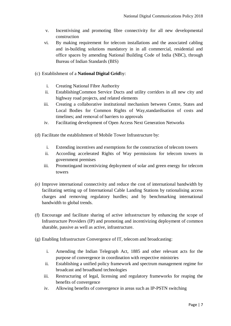- v. Incentivising and promoting fibre connectivity for all new developmental construction
- vi. By making requirement for telecom installations and the associated cabling and in-building solutions mandatory in in all commercial, residential and office spaces by amending National Building Code of India (NBC), through Bureau of Indian Standards (BIS)
- (c) Establishment of a **National Digital Grid**by:
	- i. Creating National Fibre Authority
	- ii. EstablishingCommon Service Ducts and utility corridors in all new city and highway road projects, and related elements
	- iii. Creating a collaborative institutional mechanism between Centre, States and Local Bodies for Common Rights of Way,standardisation of costs and timelines; and removal of barriers to approvals
	- iv. Facilitating development of Open Access Next Generation Networks
- (d) Facilitate the establishment of Mobile Tower Infrastructure by:
	- i. Extending incentives and exemptions for the construction of telecom towers
	- ii. According accelerated Rights of Way permissions for telecom towers in government premises
	- iii. Promotingand incentivizing deployment of solar and green energy for telecom towers
- *(e)* Improve international connectivity and reduce the cost of international bandwidth by facilitating setting up of International Cable Landing Stations by rationalising access charges and removing regulatory hurdles; and by benchmarking international bandwidth to global trends.
- (f) Encourage and facilitate sharing of active infrastructure by enhancing the scope of Infrastructure Providers (IP) and promoting and incentivizing deployment of common sharable, passive as well as active, infrastructure.
- (g) Enabling Infrastructure Convergence of IT, telecom and broadcasting:
	- i. Amending the Indian Telegraph Act, 1885 and other relevant acts for the purpose of convergence in coordination with respective ministries
	- ii. Establishing a unified policy framework and spectrum management regime for broadcast and broadband technologies
	- iii. Restructuring of legal, licensing and regulatory frameworks for reaping the benefits of convergence
	- iv. Allowing benefits of convergence in areas such as IP-PSTN switching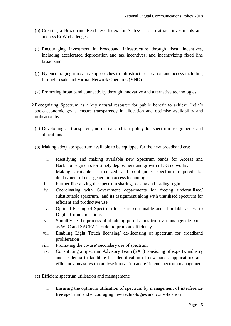- (h) Creating a Broadband Readiness Index for States/ UTs to attract investments and address RoW challenges
- (i) Encouraging investment in broadband infrastructure through fiscal incentives, including accelerated depreciation and tax incentives; and incentivizing fixed line broadband
- (j) By encouraging innovative approaches to infrastructure creation and access including through resale and Virtual Network Operators (VNO)
- (k) Promoting broadband connectivity through innovative and alternative technologies
- 1.2 Recognizing Spectrum as a key natural resource for public benefit to achieve India's socio-economic goals, ensure transparency in allocation and optimise availability and utilisation by:
	- (a) Developing a transparent, normative and fair policy for spectrum assignments and allocations
	- (b) Making adequate spectrum available to be equipped for the new broadband era:
		- i. Identifying and making available new Spectrum bands for Access and Backhaul segments for timely deployment and growth of 5G networks.
		- ii. Making available harmonized and contiguous spectrum required for deployment of next generation access technologies
		- iii. Further liberalizing the spectrum sharing, leasing and trading regime
		- iv. Coordinating with Government departments for freeing underutilised/ substitutable spectrum, and its assignment along with unutilised spectrum for efficient and productive use
		- v. Optimal Pricing of Spectrum to ensure sustainable and affordable access to Digital Communications
		- vi. Simplifying the process of obtaining permissions from various agencies such as WPC and SACFA in order to promote efficiency
		- vii. Enabling Light Touch licensing/ de-licensing of spectrum for broadband proliferation
		- viii. Promoting the co-use/ secondary use of spectrum
		- ix. Constituting a Spectrum Advisory Team (SAT) consisting of experts, industry and academia to facilitate the identification of new bands, applications and efficiency measures to catalyse innovation and efficient spectrum management
	- (c) Efficient spectrum utilisation and management:
		- i. Ensuring the optimum utilisation of spectrum by management of interference free spectrum and encouraging new technologies and consolidation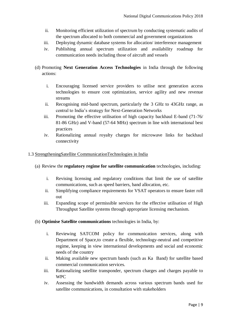- ii. Monitoring efficient utilization of spectrum by conducting systematic audits of the spectrum allocated to both commercial and government organizations
- iii. Deploying dynamic database systems for allocation/ interference management
- iv. Publishing annual spectrum utilization and availability roadmap for communication needs including those of aircraft and vessels
- (d) Promoting **Next Generation Access Technologies** in India through the following actions:
	- i. Encouraging licensed service providers to utilise next generation access technologies to ensure cost optimization, service agility and new revenue streams
	- ii. Recognising mid-band spectrum, particularly the 3 GHz to 43GHz range, as central to India's strategy for Next-Generation Networks
	- iii. Promoting the effective utilisation of high capacity backhaul E-band (71-76/ 81-86 GHz) and V-band (57-64 MHz) spectrum in line with international best practices
	- iv. Rationalizing annual royalty charges for microwave links for backhaul connectivity

#### 1.3 StrengtheningSatellite CommunicationTechnologies in India

#### (a) Review the **regulatory regime for satellite communication** technologies, including:

- i. Revising licensing and regulatory conditions that limit the use of satellite communications, such as speed barriers, band allocation, etc.
- ii. Simplifying compliance requirements for VSAT operators to ensure faster roll out
- iii. Expanding scope of permissible services for the effective utilisation of High Throughput Satellite systems through appropriate licensing mechanism.

#### (b) **Optimise Satellite communications** technologies in India, by:

- i. Reviewing SATCOM policy for communication services, along with Department of Space,to create a flexible, technology-neutral and competitive regime, keeping in view international developments and social and economic needs of the country
- ii. Making available new spectrum bands (such as Ka Band) for satellite based commercial communication services.
- iii. Rationalizing satellite transponder, spectrum charges and charges payable to WPC
- iv. Assessing the bandwidth demands across various spectrum bands used for satellite communications, in consultation with stakeholders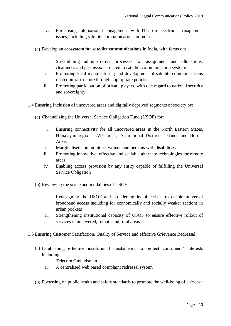- v. Prioritising international engagement with ITU on spectrum management issues, including satellite communications in India.
- (c) Develop an **ecosystem for satellite communications** in India, with focus on:
	- i. Streamlining administrative processes for assignment and allocations, clearances and permissions related to satellite communication systems
	- ii. Promoting local manufacturing and development of satellite communications related infrastructure through appropriate policies
	- iii. Promoting participation of private players, with due regard to national security and sovereignty
- 1.4 Ensuring Inclusion of uncovered areas and digitally deprived segments of society by:
	- (a) Channelizing the Universal Service Obligation Fund (USOF) for:
		- i. Ensuring connectivity for all uncovered areas in the North Eastern States, Himalayan region, LWE areas, Aspirational Districts, Islands and Border Areas
		- ii. Marginalised communities, women and persons with disabilities
		- iii. Promoting innovative, effective and scalable alternate technologies for remote areas
		- iv. Enabling access provision by any entity capable of fulfilling the Universal Service Obligation
	- (b) Reviewing the scope and modalities of USOF:
		- i. Redesigning the USOF and broadening its objectives to enable universal broadband access including for economically and socially weaker sections in urban pockets
		- ii. Strengthening institutional capacity of USOF to ensure effective rollout of services in uncovered, remote and rural areas

#### 1.5 Ensuring Customer Satisfaction, Quality of Service and effective Grievance Redressal

- (a) Establishing effective institutional mechanisms to protect consumers' interests including:
	- i. Telecom Ombudsman
	- ii. A centralised web based complaint redressal system
- (b) Focussing on public health and safety standards to promote the well-being of citizens: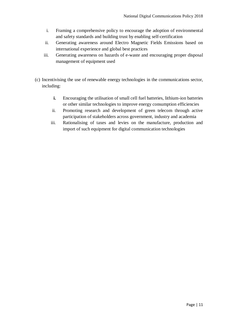- i. Framing a comprehensive policy to encourage the adoption of environmental and safety standards and building trust by enabling self-certification
- ii. Generating awareness around Electro Magnetic Fields Emissions based on international experience and global best practices
- iii. Generating awareness on hazards of e-waste and encouraging proper disposal management of equipment used
- (c) Incentivising the use of renewable energy technologies in the communications sector, including:
	- **i.** Encouraging the utilisation of small cell fuel batteries, lithium-ion batteries or other similar technologies to improve energy consumption efficiencies
	- ii. Promoting research and development of green telecom through active participation of stakeholders across government, industry and academia
	- iii. Rationalising of taxes and levies on the manufacture, production and import of such equipment for digital communication technologies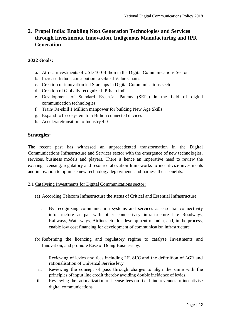# **2. Propel India: Enabling Next Generation Technologies and Services through Investments, Innovation, Indigenous Manufacturing and IPR Generation**

#### **2022 Goals:**

- a. Attract investments of USD 100 Billion in the Digital Communications Sector
- b. Increase India's contribution to Global Value Chains
- c. Creation of innovation led Start-ups in Digital Communications sector
- d. Creation of Globally recognized IPRs in India
- e. Development of Standard Essential Patents (SEPs) in the field of digital communication technologies
- f. Train/ Re-skill 1 Million manpower for building New Age Skills
- g. Expand IoT ecosystem to 5 Billion connected devices
- h. Acceleratetransition to Industry 4.0

#### **Strategies:**

The recent past has witnessed an unprecedented transformation in the Digital Communications Infrastructure and Services sector with the emergence of new technologies, services, business models and players. There is hence an imperative need to review the existing licensing, regulatory and resource allocation frameworks to incentivize investments and innovation to optimise new technology deployments and harness their benefits.

#### 2.1 Catalysing Investments for Digital Communications sector:

- (a) According Telecom Infrastructure the status of Critical and Essential Infrastructure
	- i. By recognizing communication systems and services as essential connectivity infrastructure at par with other connectivity infrastructure like Roadways, Railways, Waterways, Airlines etc. for development of India, and, in the process, enable low cost financing for development of communication infrastructure
- (b) Reforming the licencing and regulatory regime to catalyse Investments and Innovation, and promote Ease of Doing Business by:
	- i. Reviewing of levies and fees including LF, SUC and the defitnition of AGR and rationalisation of Universal Service levy
	- ii. Reviewing the concept of pass through charges to align the same with the principles of input line credit thereby avoiding double incidence of levies.
- iii. Reviewing the rationalization of license fees on fixed line revenues to incentivise digital communications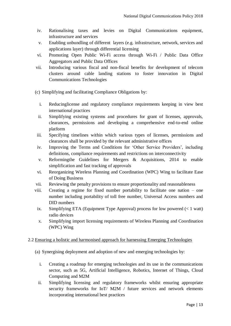- iv. Rationalising taxes and levies on Digital Communications equipment, infrastructure and services
- v. Enabling unbundling of different layers (e.g. infrastructure, network, services and applications layer) through differential licensing
- vi. Promoting Open Public Wi-Fi access through Wi-Fi / Public Data Office Aggregators and Public Data Offices
- vii. Introducing various fiscal and non-fiscal benefits for development of telecom clusters around cable landing stations to foster innovation in Digital Communications Technologies
- (c) Simplifying and facilitating Compliance Obligations by:
	- i. Reducinglicense and regulatory compliance requirements keeping in view best international practices
	- ii. Simplifying existing systems and procedures for grant of licenses, approvals, clearances, permissions and developing a comprehensive end-to-end online platform
- iii. Specifying timelines within which various types of licenses, permissions and clearances shall be provided by the relevant administrative offices
- iv. Improving the Terms and Conditions for 'Other Service Providers', including definitions, compliance requirements and restrictions on interconnectivity
- v. Reformingthe Guidelines for Mergers & Acquisitions, 2014 to enable simplification and fast tracking of approvals
- vi. Reorganizing Wireless Planning and Coordination (WPC) Wing to facilitate Ease of Doing Business
- vii. Reviewing the penalty provisions to ensure proportionality and reasonableness
- viii. Creating a regime for fixed number portability to facilitate one nation one number including portability of toll free number, Universal Access numbers and DID numbers
	- ix. Simplifying ETA (Equipment Type Approval) process for low powered  $(< 1$  watt) radio devices
	- x. Simplifying import licensing requirements of Wireless Planning and Coordination (WPC) Wing

#### 2.2 Ensuring a holistic and harmonised approach for harnessing Emerging Technologies

(a) Synergising deployment and adoption of new and emerging technologies by:

- i. Creating a roadmap for emerging technologies and its use in the communications sector, such as 5G, Artificial Intelligence, Robotics, Internet of Things, Cloud Computing and M2M
- ii. Simplifying licensing and regulatory frameworks whilst ensuring appropriate security frameworks for IoT/ M2M / future services and network elements incorporating international best practices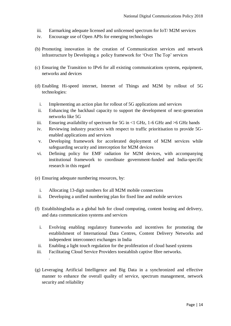- iii. Earmarking adequate licensed and unlicensed spectrum for IoT/ M2M services
- iv. Encourage use of Open APIs for emerging technologies
- (b) Promoting innovation in the creation of Communication services and network infrastructure by Developing a policy framework for 'Over The Top' services
- (c) Ensuring the Transition to IPv6 for all existing communications systems, equipment, networks and devices
- (d) Enabling Hi-speed internet, Internet of Things and M2M by rollout of 5G technologies:
	- i. Implementing an action plan for rollout of 5G applications and services
	- ii. Enhancing the backhaul capacity to support the development of next-generation networks like 5G
- iii. Ensuring availability of spectrum for 5G in  $\leq$  1 GHz, 1-6 GHz and  $\geq$  6 GHz bands
- iv. Reviewing industry practices with respect to traffic prioritisation to provide 5Genabled applications and services
- v. Developing framework for accelerated deployment of M2M services while safeguarding security and interception for M2M devices
- vi. Defining policy for EMF radiation for M2M devices, with accompanying institutional framework to coordinate government-funded and India-specific research in this regard
- (e) Ensuring adequate numbering resources, by:

*.* 

- i. Allocating 13-digit numbers for all M2M mobile connections
- ii. Developing a unified numbering plan for fixed line and mobile services
- (f) EstablishingIndia as a global hub for cloud computing, content hosting and delivery, and data communication systems and services
	- i. Evolving enabling regulatory frameworks and incentives for promoting the establishment of International Data Centres, Content Delivery Networks and independent interconnect exchanges in India
	- ii. Enabling a light touch regulation for the proliferation of cloud based systems
- iii. Facilitating Cloud Service Providers toestablish captive fibre networks.
- (g) Leveraging Artificial Intelligence and Big Data in a synchronized and effective manner to enhance the overall quality of service, spectrum management, network security and reliability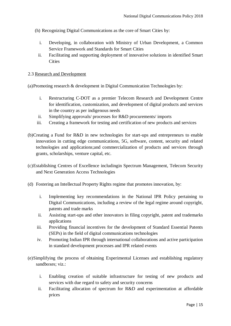- (h) Recognizing Digital Communications as the core of Smart Cities by:
	- i. Developing, in collaboration with Ministry of Urban Development, a Common Service Framework and Standards for Smart Cities
	- ii. Facilitating and supporting deployment of innovative solutions in identified Smart **Cities**

#### 2.3 Research and Development

(a)Promoting research & development in Digital Communication Technologies by:

- i. Restructuring C-DOT as a premier Telecom Research and Development Centre for identification, customization, and development of digital products and services in the country as per indigenous needs
- ii. Simplifying approvals/ processes for R&D procurements/ imports
- iii. Creating a framework for testing and certification of new products and services
- (b)Creating a Fund for R&D in new technologies for start-ups and entrepreneurs to enable innovation in cutting edge communications, 5G, software, content, security and related technologies and applications;and commercialization of products and services through grants, scholarships, venture capital, etc.
- (c)Establishing Centres of Excellence includingin Spectrum Management, Telecom Security and Next Generation Access Technologies
- (d) Fostering an Intellectual Property Rights regime that promotes innovation, by:
	- i. Implementing key recommendations in the National IPR Policy pertaining to Digital Communications, including a review of the legal regime around copyright, patents and trade marks
	- ii. Assisting start-ups and other innovators in filing copyright, patent and trademarks applications
	- iii. Providing financial incentives for the development of Standard Essential Patents (SEPs) in the field of digital communications technologies
	- iv. Promoting Indian IPR through international collaborations and active participation in standard development processes and IPR related events
- (e)Simplifying the process of obtaining Experimental Licenses and establishing regulatory sandboxes; viz.:
	- i. Enabling creation of suitable infrastructure for testing of new products and services with due regard to safety and security concerns
	- ii. Facilitating allocation of spectrum for R&D and experimentation at affordable prices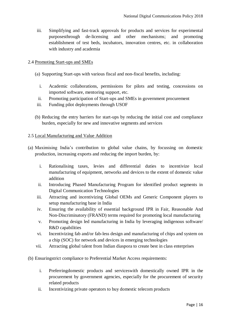iii. Simplifying and fast-track approvals for products and services for experimental purposesthrough de-licensing and other mechanisms; and promoting establishment of test beds, incubators, innovation centres, etc. in collaboration with industry and academia

#### 2.4 Promoting Start-ups and SMEs

- (a) Supporting Start-ups with various fiscal and non-fiscal benefits, including:
	- i. Academic collaborations, permissions for pilots and testing, concessions on imported software, mentoring support, etc.
	- ii. Promoting participation of Start-ups and SMEs in government procurement
- iii. Funding pilot deployments through USOF
- (b) Reducing the entry barriers for start-ups by reducing the initial cost and compliance burden, especially for new and innovative segments and services

#### 2.5 Local Manufacturing and Value Addition

- (a) Maximising India's contribution to global value chains, by focussing on domestic production, increasing exports and reducing the import burden, by:
	- i. Rationalising taxes, levies and differential duties to incentivize local manufacturing of equipment, networks and devices to the extent of domestic value addition
	- ii. Introducing Phased Manufacturing Program for identified product segments in Digital Communication Technologies
	- iii. Attracting and incentivizing Global OEMs and Generic Component players to setup manufacturing base in India
	- iv. Ensuring the availability of essential background IPR in Fair, Reasonable And Non-Discriminatory (FRAND) terms required for promoting local manufacturing
	- v. Promoting design led manufacturing in India by leveraging indigenous software/ R&D capabilities
	- vi. Incentivizing fab and/or fab-less design and manufacturing of chips and system on a chip (SOC) for network and devices in emerging technologies
	- vii. Attracting global talent from Indian diaspora to create best in class enterprises
- (b) Ensuringstrict compliance to Preferential Market Access requirements:
	- i. Preferringdomestic products and serviceswith domestically owned IPR in the procurement by government agencies, especially for the procurement of security related products
	- ii. Incentivizing private operators to buy domestic telecom products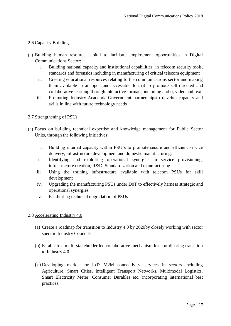#### 2.6 Capacity Building

- (a) Building human resource capital to facilitate employment opportunities in Digital Communications Sector:
	- i. Building national capacity and institutional capabilities in telecom security tools, standards and forensics including in manufacturing of critical telecom equipment
	- ii. Creating educational resources relating to the communications sector and making them available in an open and accessible format to promote self-directed and collaborative learning through interactive formats, including audio, video and text
	- iii. Promoting Industry-Academia-Government partnershipsto develop capacity and skills in line with future technology needs

#### 2.7 Strengthening of PSUs

- (a) Focus on building technical expertise and knowledge management for Public Sector Units, through the following initiatives:
	- i. Building internal capacity within PSU's to promote secure and efficient service delivery, infrastructure development and domestic manufacturing.
	- ii. Identifying and exploiting operational synergies in service provisioning, infrastructure creation, R&D, Standardization and manufacturing
	- iii. Using the training infrastructure available with telecom PSUs for skill development
	- iv. Upgrading the manufacturing PSUs under DoT to effectively harness strategic and operational synergies
	- v. Facilitating technical upgradation of PSUs

#### 2.8 Accelerating Industry 4.0

- (a) Create a roadmap for transition to Industry 4.0 by 2020by closely working with sector specific Industry Councils
- (b) Establish a multi-stakeholder led collaborative mechanism for coordinating transition to Industry 4.0
- (c) Developing market for IoT/ M2M connectivity services in sectors including Agriculture, Smart Cities, Intelligent Transport Networks, Multimodal Logistics, Smart Electricity Meter, Consumer Durables etc. incorporating international best practices.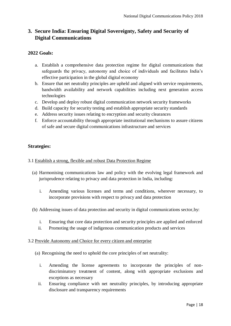## **3. Secure India: Ensuring Digital Sovereignty, Safety and Security of Digital Communications**

#### **2022 Goals:**

- a. Establish a comprehensive data protection regime for digital communications that safeguards the privacy, autonomy and choice of individuals and facilitates India's effective participation in the global digital economy
- b. Ensure that net neutrality principles are upheld and aligned with service requirements, bandwidth availability and network capabilities including next generation access technologies
- c. Develop and deploy robust digital communication network security frameworks
- d. Build capacity for security testing and establish appropriate security standards
- e. Address security issues relating to encryption and security clearances
- f. Enforce accountability through appropriate institutional mechanisms to assure citizens of safe and secure digital communications infrastructure and services

#### **Strategies:**

- 3.1 Establish a strong, flexible and robust Data Protection Regime
	- (a) Harmonising communications law and policy with the evolving legal framework and jurisprudence relating to privacy and data protection in India, including:
		- i. Amending various licenses and terms and conditions, wherever necessary, to incorporate provisions with respect to privacy and data protection
	- (b) Addressing issues of data protection and security in digital communications sector,by:
		- i. Ensuring that core data protection and security principles are applied and enforced
		- ii. Promoting the usage of indigenous communication products and services

#### 3.2 Provide Autonomy and Choice for every citizen and enterprise

- (a) Recognising the need to uphold the core principles of net neutrality:
	- i. Amending the license agreements to incorporate the principles of nondiscriminatory treatment of content, along with appropriate exclusions and exceptions as necessary
	- ii. Ensuring compliance with net neutrality principles, by introducing appropriate disclosure and transparency requirements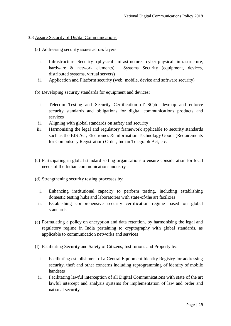#### 3.3 Assure Security of Digital Communications

- (a) Addressing security issues across layers:
	- i. Infrastructure Security (physical infrastructure, cyber-physical infrastructure, hardware & network elements), Systems Security (equipment, devices, distributed systems, virtual servers)
	- ii. Application and Platform security (web, mobile, device and software security)
- (b) Developing security standards for equipment and devices:
	- i. Telecom Testing and Security Certification (TTSC)to develop and enforce security standards and obligations for digital communications products and services
	- ii. Aligning with global standards on safety and security
- iii. Harmonising the legal and regulatory framework applicable to security standards such as the BIS Act, Electronics & Information Technology Goods (Requirements for Compulsory Registration) Order, Indian Telegraph Act, etc.
- (c) Participating in global standard setting organisationsto ensure consideration for local needs of the Indian communications industry
- (d) Strengthening security testing processes by:
	- i. Enhancing institutional capacity to perform testing, including establishing domestic testing hubs and laboratories with state-of-the art facilities
	- ii. Establishing comprehensive security certification regime based on global standards
- (e) Formulating a policy on encryption and data retention, by harmonising the legal and regulatory regime in India pertaining to cryptography with global standards, as applicable to communication networks and services
- (f) Facilitating Security and Safety of Citizens, Institutions and Property by:
	- i. Facilitating establishment of a Central Equipment Identity Registry for addressing security, theft and other concerns including reprogramming of identity of mobile handsets
	- ii. Facilitating lawful interception of all Digital Communications with state of the art lawful intercept and analysis systems for implementation of law and order and national security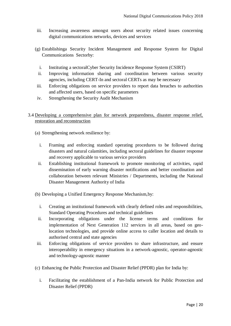- iii. Increasing awareness amongst users about security related issues concerning digital communications networks, devices and services
- (g) Establishinga Security Incident Management and Response System for Digital Communications Sectorby:
	- i. Instituting a sectoralCyber Security Incidence Response System (CSIRT)
	- ii. Improving information sharing and coordination between various security agencies, including CERT-In and sectoral CERTs as may be necessary
- iii. Enforcing obligations on service providers to report data breaches to authorities and affected users, based on specific parameters
- iv. Strengthening the Security Audit Mechanism

#### 3.4 Developing a comprehensive plan for network preparedness, disaster response relief, restoration and reconstruction

- (a) Strengthening network resilience by:
	- i. Framing and enforcing standard operating procedures to be followed during disasters and natural calamities, including sectoral guidelines for disaster response and recovery applicable to various service providers
	- ii. Establishing institutional framework to promote monitoring of activities, rapid dissemination of early warning disaster notifications and better coordination and collaboration between relevant Ministries / Departments, including the National Disaster Management Authority of India
- (b) Developing a Unified Emergency Response Mechanism,by:
	- i. Creating an institutional framework with clearly defined roles and responsibilities, Standard Operating Procedures and technical guidelines
	- ii. Incorporating obligations under the license terms and conditions for implementation of Next Generation 112 services in all areas, based on geolocation technologies, and provide online access to caller location and details to authorised central and state agencies
- iii. Enforcing obligations of service providers to share infrastructure, and ensure interoperability in emergency situations in a network-agnostic, operator-agnostic and technology-agnostic manner
- (c) Enhancing the Public Protection and Disaster Relief (PPDR) plan for India by:
	- i. Facilitating the establishment of a Pan-India network for Public Protection and Disaster Relief (PPDR)